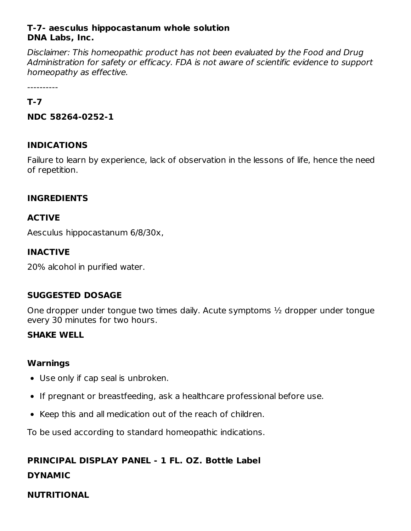#### **T-7- aesculus hippocastanum whole solution DNA Labs, Inc.**

Disclaimer: This homeopathic product has not been evaluated by the Food and Drug Administration for safety or efficacy. FDA is not aware of scientific evidence to support homeopathy as effective.

----------

#### **T-7**

**NDC 58264-0252-1**

### **INDICATIONS**

Failure to learn by experience, lack of observation in the lessons of life, hence the need of repetition.

### **INGREDIENTS**

### **ACTIVE**

Aesculus hippocastanum 6/8/30x,

### **INACTIVE**

20% alcohol in purified water.

### **SUGGESTED DOSAGE**

One dropper under tongue two times daily. Acute symptoms ½ dropper under tongue every 30 minutes for two hours.

### **SHAKE WELL**

### **Warnings**

- Use only if cap seal is unbroken.
- If pregnant or breastfeeding, ask a healthcare professional before use.
- Keep this and all medication out of the reach of children.

To be used according to standard homeopathic indications.

# **PRINCIPAL DISPLAY PANEL - 1 FL. OZ. Bottle Label**

### **DYNAMIC**

### **NUTRITIONAL**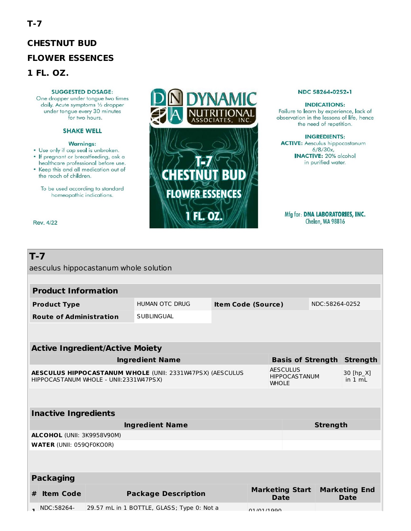# **CHESTNUT BUD FLOWER ESSENCES** 1 FL. OZ.

#### **SUGGESTED DOSAGE:**

One dropper under tongue two times daily. Acute symptoms 1/2 dropper under tongue every 30 minutes for two hours.

#### **SHAKE WELL**

#### **Warnings:**

- . Use only if cap seal is unbroken. · If pregnant or breastfeeding, ask a healthcare professional before use.
- . Keep this and all medication out of the reach of children.

To be used according to standard homeopathic indications.

Rev. 4/22



#### NDC 58264-0252-1

#### **INDICATIONS:**

Failure to learn by experience, lack of observation in the lessons of life, hence the need of repetition.

#### **INGREDIENTS:**

**ACTIVE:** Aesculus hippocastanum 6/8/30x,<br>6/8/30x,<br>INACTIVE: 20% alcohol in purified water.

Mfg for: DNA LABORATORIES, INC. Chelan, WA 98816

| $T - 7$<br>aesculus hippocastanum whole solution                                                    |                                |                            |                                            |  |                                       |                                                         |                                     |                |                      |  |  |  |
|-----------------------------------------------------------------------------------------------------|--------------------------------|----------------------------|--------------------------------------------|--|---------------------------------------|---------------------------------------------------------|-------------------------------------|----------------|----------------------|--|--|--|
|                                                                                                     |                                |                            |                                            |  |                                       |                                                         |                                     |                |                      |  |  |  |
| <b>Product Information</b>                                                                          |                                |                            |                                            |  |                                       |                                                         |                                     |                |                      |  |  |  |
|                                                                                                     | <b>Product Type</b>            |                            | HUMAN OTC DRUG                             |  | <b>Item Code (Source)</b>             |                                                         |                                     | NDC:58264-0252 |                      |  |  |  |
|                                                                                                     | <b>Route of Administration</b> |                            | <b>SUBLINGUAL</b>                          |  |                                       |                                                         |                                     |                |                      |  |  |  |
|                                                                                                     |                                |                            |                                            |  |                                       |                                                         |                                     |                |                      |  |  |  |
| <b>Active Ingredient/Active Moiety</b>                                                              |                                |                            |                                            |  |                                       |                                                         |                                     |                |                      |  |  |  |
| <b>Ingredient Name</b>                                                                              |                                |                            |                                            |  |                                       | <b>Basis of Strength</b>                                |                                     |                | <b>Strength</b>      |  |  |  |
| AESCULUS HIPPOCASTANUM WHOLE (UNII: 2331W47PSX) (AESCULUS<br>HIPPOCASTANUM WHOLE - UNII:2331W47PSX) |                                |                            |                                            |  |                                       | <b>AESCULUS</b><br><b>HIPPOCASTANUM</b><br><b>WHOLE</b> |                                     |                | 30 [hp_X]<br>in 1 ml |  |  |  |
|                                                                                                     |                                |                            |                                            |  |                                       |                                                         |                                     |                |                      |  |  |  |
|                                                                                                     | <b>Inactive Ingredients</b>    |                            |                                            |  |                                       |                                                         |                                     |                |                      |  |  |  |
| <b>Ingredient Name</b>                                                                              |                                |                            |                                            |  |                                       | <b>Strength</b>                                         |                                     |                |                      |  |  |  |
|                                                                                                     | ALCOHOL (UNII: 3K9958V90M)     |                            |                                            |  |                                       |                                                         |                                     |                |                      |  |  |  |
| <b>WATER (UNII: 059QF0KO0R)</b>                                                                     |                                |                            |                                            |  |                                       |                                                         |                                     |                |                      |  |  |  |
|                                                                                                     |                                |                            |                                            |  |                                       |                                                         |                                     |                |                      |  |  |  |
|                                                                                                     | <b>Packaging</b>               |                            |                                            |  |                                       |                                                         |                                     |                |                      |  |  |  |
| #                                                                                                   | <b>Item Code</b>               | <b>Package Description</b> |                                            |  | <b>Marketing Start</b><br><b>Date</b> |                                                         | <b>Marketing End</b><br><b>Date</b> |                |                      |  |  |  |
|                                                                                                     | NDC:58264-                     |                            | 29.57 mL in 1 BOTTLE, GLASS; Type 0: Not a |  | 01/01/1000                            |                                                         |                                     |                |                      |  |  |  |